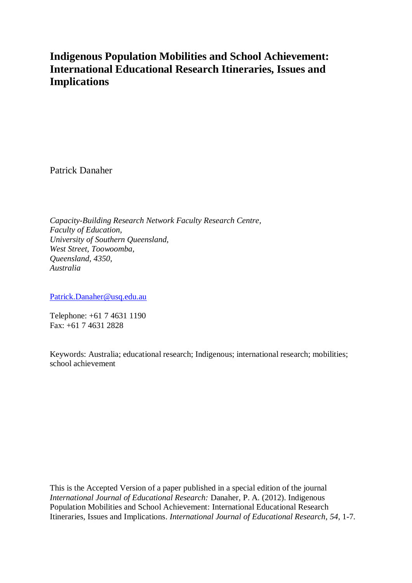# **Indigenous Population Mobilities and School Achievement: International Educational Research Itineraries, Issues and Implications**

Patrick Danaher

*Capacity-Building Research Network Faculty Research Centre, Faculty of Education, University of Southern Queensland, West Street, Toowoomba, Queensland, 4350, Australia*

[Patrick.Danaher@usq.edu.au](mailto:Patrick.Danaher@usq.edu.au)

Telephone: +61 7 4631 1190 Fax: +61 7 4631 2828

Keywords: Australia; educational research; Indigenous; international research; mobilities; school achievement

This is the Accepted Version of a paper published in a special edition of the journal *International Journal of Educational Research:* Danaher, P. A. (2012). Indigenous Population Mobilities and School Achievement: International Educational Research Itineraries, Issues and Implications. *International Journal of Educational Research*, *54,* 1-7.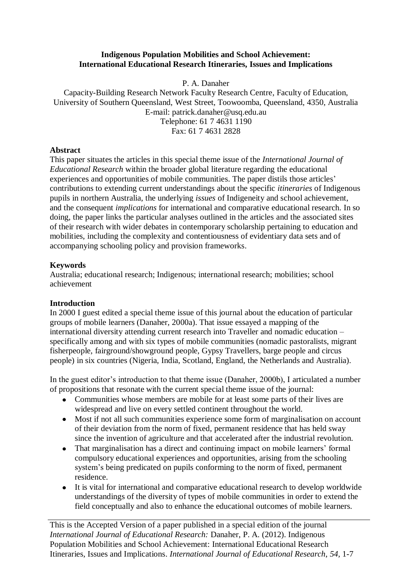## **Indigenous Population Mobilities and School Achievement: International Educational Research Itineraries, Issues and Implications**

P. A. Danaher

Capacity-Building Research Network Faculty Research Centre, Faculty of Education, University of Southern Queensland, West Street, Toowoomba, Queensland, 4350, Australia E-mail: patrick.danaher@usq.edu.au Telephone: 61 7 4631 1190 Fax: 61 7 4631 2828

# **Abstract**

This paper situates the articles in this special theme issue of the *International Journal of Educational Research* within the broader global literature regarding the educational experiences and opportunities of mobile communities. The paper distils those articles' contributions to extending current understandings about the specific *itineraries* of Indigenous pupils in northern Australia, the underlying *issues* of Indigeneity and school achievement, and the consequent *implications* for international and comparative educational research. In so doing, the paper links the particular analyses outlined in the articles and the associated sites of their research with wider debates in contemporary scholarship pertaining to education and mobilities, including the complexity and contentiousness of evidentiary data sets and of accompanying schooling policy and provision frameworks.

# **Keywords**

Australia; educational research; Indigenous; international research; mobilities; school achievement

# **Introduction**

In 2000 I guest edited a special theme issue of this journal about the education of particular groups of mobile learners (Danaher, 2000a). That issue essayed a mapping of the international diversity attending current research into Traveller and nomadic education – specifically among and with six types of mobile communities (nomadic pastoralists, migrant fisherpeople, fairground/showground people, Gypsy Travellers, barge people and circus people) in six countries (Nigeria, India, Scotland, England, the Netherlands and Australia).

In the guest editor's introduction to that theme issue (Danaher, 2000b), I articulated a number of propositions that resonate with the current special theme issue of the journal:

- Communities whose members are mobile for at least some parts of their lives are widespread and live on every settled continent throughout the world.
- Most if not all such communities experience some form of marginalisation on account of their deviation from the norm of fixed, permanent residence that has held sway since the invention of agriculture and that accelerated after the industrial revolution.
- That marginalisation has a direct and continuing impact on mobile learners' formal compulsory educational experiences and opportunities, arising from the schooling system"s being predicated on pupils conforming to the norm of fixed, permanent residence.
- It is vital for international and comparative educational research to develop worldwide understandings of the diversity of types of mobile communities in order to extend the field conceptually and also to enhance the educational outcomes of mobile learners.

This is the Accepted Version of a paper published in a special edition of the journal *International Journal of Educational Research:* Danaher, P. A. (2012). Indigenous Population Mobilities and School Achievement: International Educational Research Itineraries, Issues and Implications. *International Journal of Educational Research*, *54,* 1-7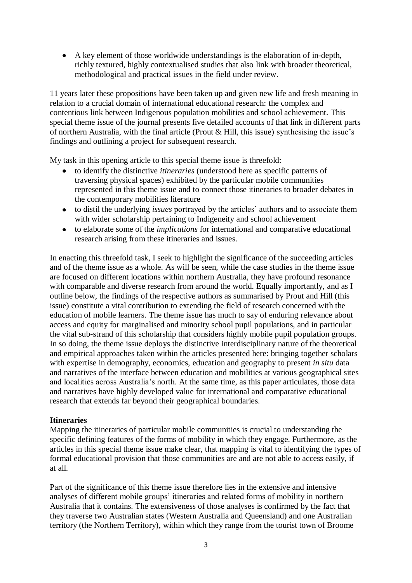A key element of those worldwide understandings is the elaboration of in-depth, richly textured, highly contextualised studies that also link with broader theoretical, methodological and practical issues in the field under review.

11 years later these propositions have been taken up and given new life and fresh meaning in relation to a crucial domain of international educational research: the complex and contentious link between Indigenous population mobilities and school achievement. This special theme issue of the journal presents five detailed accounts of that link in different parts of northern Australia, with the final article (Prout  $\&$  Hill, this issue) synthesising the issue's findings and outlining a project for subsequent research.

My task in this opening article to this special theme issue is threefold:

- to identify the distinctive *itineraries* (understood here as specific patterns of traversing physical spaces) exhibited by the particular mobile communities represented in this theme issue and to connect those itineraries to broader debates in the contemporary mobilities literature
- to distil the underlying *issues* portrayed by the articles' authors and to associate them with wider scholarship pertaining to Indigeneity and school achievement
- to elaborate some of the *implications* for international and comparative educational research arising from these itineraries and issues.

In enacting this threefold task, I seek to highlight the significance of the succeeding articles and of the theme issue as a whole. As will be seen, while the case studies in the theme issue are focused on different locations within northern Australia, they have profound resonance with comparable and diverse research from around the world. Equally importantly, and as I outline below, the findings of the respective authors as summarised by Prout and Hill (this issue) constitute a vital contribution to extending the field of research concerned with the education of mobile learners. The theme issue has much to say of enduring relevance about access and equity for marginalised and minority school pupil populations, and in particular the vital sub-strand of this scholarship that considers highly mobile pupil population groups. In so doing, the theme issue deploys the distinctive interdisciplinary nature of the theoretical and empirical approaches taken within the articles presented here: bringing together scholars with expertise in demography, economics, education and geography to present *in situ* data and narratives of the interface between education and mobilities at various geographical sites and localities across Australia"s north. At the same time, as this paper articulates, those data and narratives have highly developed value for international and comparative educational research that extends far beyond their geographical boundaries.

#### **Itineraries**

Mapping the itineraries of particular mobile communities is crucial to understanding the specific defining features of the forms of mobility in which they engage. Furthermore, as the articles in this special theme issue make clear, that mapping is vital to identifying the types of formal educational provision that those communities are and are not able to access easily, if at all.

Part of the significance of this theme issue therefore lies in the extensive and intensive analyses of different mobile groups' itineraries and related forms of mobility in northern Australia that it contains. The extensiveness of those analyses is confirmed by the fact that they traverse two Australian states (Western Australia and Queensland) and one Australian territory (the Northern Territory), within which they range from the tourist town of Broome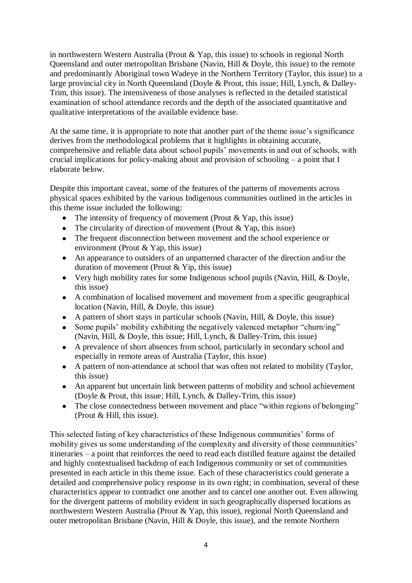in northwestern Western Australia (Prout & Yap, this issue) to schools in regional North Queensland and outer metropolitan Brisbane (Navin, Hill & Doyle, this issue) to the remote and predominantly Aboriginal town Wadeye in the Northern Territory (Taylor, this issue) to a large provincial city in North Queensland (Doyle & Prout, this issue; Hill, Lynch, & Dalley-Trim, this issue). The intensiveness of those analyses is reflected in the detailed statistical examination of school attendance records and the depth of the associated quantitative and qualitative interpretations of the available evidence base.

At the same time, it is appropriate to note that another part of the theme issue"s significance derives from the methodological problems that it highlights in obtaining accurate, comprehensive and reliable data about school pupils" movements in and out of schools, with crucial implications for policy-making about and provision of schooling – a point that I elaborate below.

Despite this important caveat, some of the features of the patterns of movements across physical spaces exhibited by the various Indigenous communities outlined in the articles in this theme issue included the following:

- The intensity of frequency of movement (Prout  $& \text{Yap},$  this issue)
- The circularity of direction of movement (Prout  $& \text{Yap},$  this issue)
- The frequent disconnection between movement and the school experience or environment (Prout & Yap, this issue)
- An appearance to outsiders of an unpatterned character of the direction and/or the duration of movement (Prout & Yip, this issue)
- Very high mobility rates for some Indigenous school pupils (Navin, Hill, & Doyle, this issue)
- $\bullet$ A combination of localised movement and movement from a specific geographical location (Navin, Hill, & Doyle, this issue)
- A pattern of short stays in particular schools (Navin, Hill,  $\&$  Doyle, this issue)
- Some pupils" mobility exhibiting the negatively valenced metaphor "churn/ing"  $\bullet$ (Navin, Hill, & Doyle, this issue; Hill, Lynch, & Dalley-Trim, this issue)
- A prevalence of short absences from school, particularly in secondary school and especially in remote areas of Australia (Taylor, this issue)
- A pattern of non-attendance at school that was often not related to mobility (Taylor, this issue)
- An apparent but uncertain link between patterns of mobility and school achievement (Doyle & Prout, this issue; Hill, Lynch, & Dalley-Trim, this issue)
- The close connectedness between movement and place "within regions of belonging" (Prout & Hill, this issue).

This selected listing of key characteristics of these Indigenous communities" forms of mobility gives us some understanding of the complexity and diversity of those communities" itineraries – a point that reinforces the need to read each distilled feature against the detailed and highly contextualised backdrop of each Indigenous community or set of communities presented in each article in this theme issue. Each of these characteristics could generate a detailed and comprehensive policy response in its own right; in combination, several of these characteristics appear to contradict one another and to cancel one another out. Even allowing for the divergent patterns of mobility evident in such geographically dispersed locations as northwestern Western Australia (Prout & Yap, this issue), regional North Queensland and outer metropolitan Brisbane (Navin, Hill & Doyle, this issue), and the remote Northern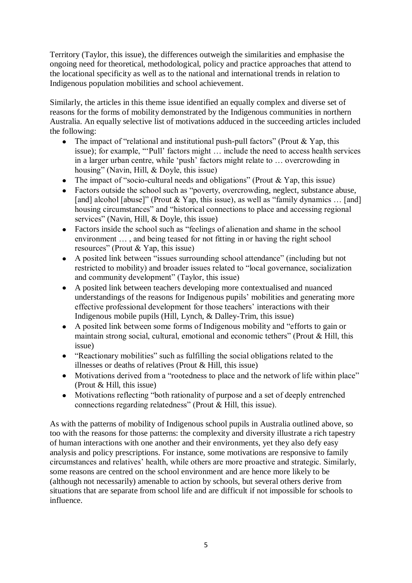Territory (Taylor, this issue), the differences outweigh the similarities and emphasise the ongoing need for theoretical, methodological, policy and practice approaches that attend to the locational specificity as well as to the national and international trends in relation to Indigenous population mobilities and school achievement.

Similarly, the articles in this theme issue identified an equally complex and diverse set of reasons for the forms of mobility demonstrated by the Indigenous communities in northern Australia. An equally selective list of motivations adduced in the succeeding articles included the following:

- The impact of "relational and institutional push-pull factors" (Prout  $& Yan$ , this issue); for example, ""Pull" factors might … include the need to access health services in a larger urban centre, while "push" factors might relate to … overcrowding in housing" (Navin, Hill, & Doyle, this issue)
- The impact of "socio-cultural needs and obligations" (Prout  $& \text{Yap},$  this issue)  $\bullet$
- Factors outside the school such as "poverty, overcrowding, neglect, substance abuse, [and] alcohol [abuse]" (Prout & Yap, this issue), as well as "family dynamics ... [and] housing circumstances" and "historical connections to place and accessing regional services" (Navin, Hill, & Doyle, this issue)
- Factors inside the school such as "feelings of alienation and shame in the school environment … , and being teased for not fitting in or having the right school resources" (Prout & Yap, this issue)
- A posited link between "issues surrounding school attendance" (including but not  $\bullet$ restricted to mobility) and broader issues related to "local governance, socialization and community development" (Taylor, this issue)
- A posited link between teachers developing more contextualised and nuanced  $\bullet$ understandings of the reasons for Indigenous pupils" mobilities and generating more effective professional development for those teachers" interactions with their Indigenous mobile pupils (Hill, Lynch, & Dalley-Trim, this issue)
- A posited link between some forms of Indigenous mobility and "efforts to gain or  $\bullet$ maintain strong social, cultural, emotional and economic tethers" (Prout  $\&$  Hill, this issue)
- "Reactionary mobilities" such as fulfilling the social obligations related to the illnesses or deaths of relatives (Prout & Hill, this issue)
- Motivations derived from a "rootedness to place and the network of life within place" (Prout & Hill, this issue)
- Motivations reflecting "both rationality of purpose and a set of deeply entrenched connections regarding relatedness" (Prout & Hill, this issue).

As with the patterns of mobility of Indigenous school pupils in Australia outlined above, so too with the reasons for those patterns: the complexity and diversity illustrate a rich tapestry of human interactions with one another and their environments, yet they also defy easy analysis and policy prescriptions. For instance, some motivations are responsive to family circumstances and relatives" health, while others are more proactive and strategic. Similarly, some reasons are centred on the school environment and are hence more likely to be (although not necessarily) amenable to action by schools, but several others derive from situations that are separate from school life and are difficult if not impossible for schools to influence.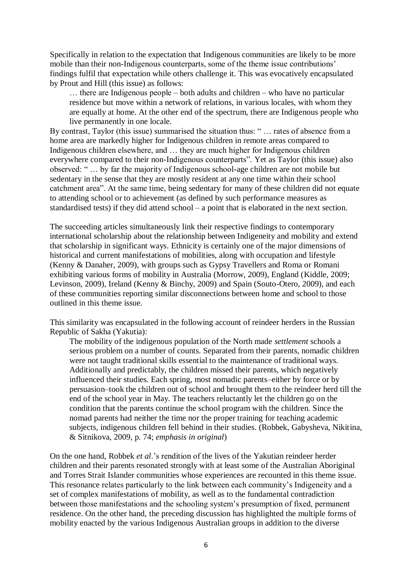Specifically in relation to the expectation that Indigenous communities are likely to be more mobile than their non-Indigenous counterparts, some of the theme issue contributions" findings fulfil that expectation while others challenge it. This was evocatively encapsulated by Prout and Hill (this issue) as follows:

… there are Indigenous people – both adults and children – who have no particular residence but move within a network of relations, in various locales, with whom they are equally at home. At the other end of the spectrum, there are Indigenous people who live permanently in one locale.

By contrast, Taylor (this issue) summarised the situation thus: " … rates of absence from a home area are markedly higher for Indigenous children in remote areas compared to Indigenous children elsewhere, and … they are much higher for Indigenous children everywhere compared to their non-Indigenous counterparts". Yet as Taylor (this issue) also observed: " … by far the majority of Indigenous school-age children are not mobile but sedentary in the sense that they are mostly resident at any one time within their school catchment area". At the same time, being sedentary for many of these children did not equate to attending school or to achievement (as defined by such performance measures as standardised tests) if they did attend school – a point that is elaborated in the next section.

The succeeding articles simultaneously link their respective findings to contemporary international scholarship about the relationship between Indigeneity and mobility and extend that scholarship in significant ways. Ethnicity is certainly one of the major dimensions of historical and current manifestations of mobilities, along with occupation and lifestyle (Kenny & Danaher, 2009), with groups such as Gypsy Travellers and Roma or Romani exhibiting various forms of mobility in Australia (Morrow, 2009), England (Kiddle, 2009; Levinson, 2009), Ireland (Kenny & Binchy, 2009) and Spain (Souto-Otero, 2009), and each of these communities reporting similar disconnections between home and school to those outlined in this theme issue.

This similarity was encapsulated in the following account of reindeer herders in the Russian Republic of Sakha (Yakutia):

The mobility of the indigenous population of the North made *settlement* schools a serious problem on a number of counts. Separated from their parents, nomadic children were not taught traditional skills essential to the maintenance of traditional ways. Additionally and predictably, the children missed their parents, which negatively influenced their studies. Each spring, most nomadic parents–either by force or by persuasion–took the children out of school and brought them to the reindeer herd till the end of the school year in May. The teachers reluctantly let the children go on the condition that the parents continue the school program with the children. Since the nomad parents had neither the time nor the proper training for teaching academic subjects, indigenous children fell behind in their studies. (Robbek, Gabysheva, Nikitina, & Sitnikova, 2009, p. 74; *emphasis in original*)

On the one hand, Robbek *et al*."s rendition of the lives of the Yakutian reindeer herder children and their parents resonated strongly with at least some of the Australian Aboriginal and Torres Strait Islander communities whose experiences are recounted in this theme issue. This resonance relates particularly to the link between each community"s Indigeneity and a set of complex manifestations of mobility, as well as to the fundamental contradiction between those manifestations and the schooling system"s presumption of fixed, permanent residence. On the other hand, the preceding discussion has highlighted the multiple forms of mobility enacted by the various Indigenous Australian groups in addition to the diverse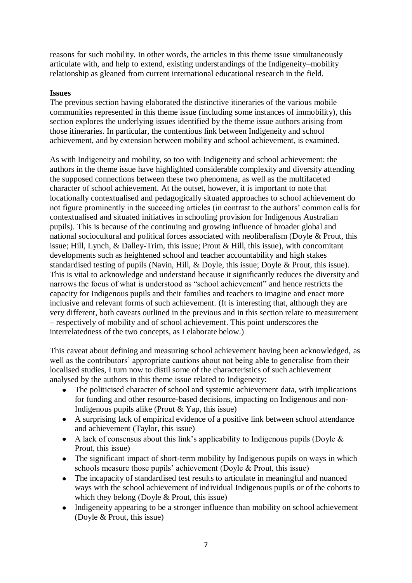reasons for such mobility. In other words, the articles in this theme issue simultaneously articulate with, and help to extend, existing understandings of the Indigeneity–mobility relationship as gleaned from current international educational research in the field.

## **Issues**

The previous section having elaborated the distinctive itineraries of the various mobile communities represented in this theme issue (including some instances of immobility), this section explores the underlying issues identified by the theme issue authors arising from those itineraries. In particular, the contentious link between Indigeneity and school achievement, and by extension between mobility and school achievement, is examined.

As with Indigeneity and mobility, so too with Indigeneity and school achievement: the authors in the theme issue have highlighted considerable complexity and diversity attending the supposed connections between these two phenomena, as well as the multifaceted character of school achievement. At the outset, however, it is important to note that locationally contextualised and pedagogically situated approaches to school achievement do not figure prominently in the succeeding articles (in contrast to the authors' common calls for contextualised and situated initiatives in schooling provision for Indigenous Australian pupils). This is because of the continuing and growing influence of broader global and national sociocultural and political forces associated with neoliberalism (Doyle & Prout, this issue; Hill, Lynch, & Dalley-Trim, this issue; Prout & Hill, this issue), with concomitant developments such as heightened school and teacher accountability and high stakes standardised testing of pupils (Navin, Hill, & Doyle, this issue; Doyle & Prout, this issue). This is vital to acknowledge and understand because it significantly reduces the diversity and narrows the focus of what is understood as "school achievement" and hence restricts the capacity for Indigenous pupils and their families and teachers to imagine and enact more inclusive and relevant forms of such achievement. (It is interesting that, although they are very different, both caveats outlined in the previous and in this section relate to measurement – respectively of mobility and of school achievement. This point underscores the interrelatedness of the two concepts, as I elaborate below.)

This caveat about defining and measuring school achievement having been acknowledged, as well as the contributors' appropriate cautions about not being able to generalise from their localised studies, I turn now to distil some of the characteristics of such achievement analysed by the authors in this theme issue related to Indigeneity:

- The politicised character of school and systemic achievement data, with implications for funding and other resource-based decisions, impacting on Indigenous and non-Indigenous pupils alike (Prout  $& \text{Yap},$  this issue)
- A surprising lack of empirical evidence of a positive link between school attendance and achievement (Taylor, this issue)
- A lack of consensus about this link's applicability to Indigenous pupils (Doyle  $\&$ Prout, this issue)
- The significant impact of short-term mobility by Indigenous pupils on ways in which schools measure those pupils' achievement (Doyle & Prout, this issue)
- The incapacity of standardised test results to articulate in meaningful and nuanced  $\bullet$ ways with the school achievement of individual Indigenous pupils or of the cohorts to which they belong (Doyle & Prout, this issue)
- Indigeneity appearing to be a stronger influence than mobility on school achievement  $\bullet$ (Doyle & Prout, this issue)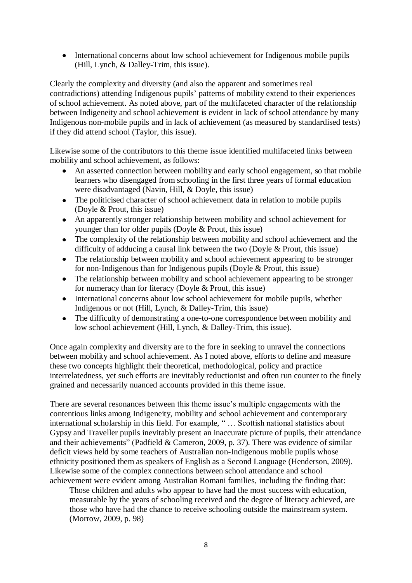• International concerns about low school achievement for Indigenous mobile pupils (Hill, Lynch, & Dalley-Trim, this issue).

Clearly the complexity and diversity (and also the apparent and sometimes real contradictions) attending Indigenous pupils" patterns of mobility extend to their experiences of school achievement. As noted above, part of the multifaceted character of the relationship between Indigeneity and school achievement is evident in lack of school attendance by many Indigenous non-mobile pupils and in lack of achievement (as measured by standardised tests) if they did attend school (Taylor, this issue).

Likewise some of the contributors to this theme issue identified multifaceted links between mobility and school achievement, as follows:

- An asserted connection between mobility and early school engagement, so that mobile learners who disengaged from schooling in the first three years of formal education were disadvantaged (Navin, Hill, & Doyle, this issue)
- The politicised character of school achievement data in relation to mobile pupils (Doyle & Prout, this issue)
- An apparently stronger relationship between mobility and school achievement for  $\bullet$ younger than for older pupils (Doyle & Prout, this issue)
- The complexity of the relationship between mobility and school achievement and the difficulty of adducing a causal link between the two (Doyle & Prout, this issue)
- The relationship between mobility and school achievement appearing to be stronger for non-Indigenous than for Indigenous pupils (Doyle & Prout, this issue)
- The relationship between mobility and school achievement appearing to be stronger  $\bullet$ for numeracy than for literacy (Doyle & Prout, this issue)
- International concerns about low school achievement for mobile pupils, whether  $\bullet$ Indigenous or not (Hill, Lynch, & Dalley-Trim, this issue)
- The difficulty of demonstrating a one-to-one correspondence between mobility and low school achievement (Hill, Lynch, & Dalley-Trim, this issue).

Once again complexity and diversity are to the fore in seeking to unravel the connections between mobility and school achievement. As I noted above, efforts to define and measure these two concepts highlight their theoretical, methodological, policy and practice interrelatedness, yet such efforts are inevitably reductionist and often run counter to the finely grained and necessarily nuanced accounts provided in this theme issue.

There are several resonances between this theme issue's multiple engagements with the contentious links among Indigeneity, mobility and school achievement and contemporary international scholarship in this field. For example, " … Scottish national statistics about Gypsy and Traveller pupils inevitably present an inaccurate picture of pupils, their attendance and their achievements" (Padfield & Cameron, 2009, p. 37). There was evidence of similar deficit views held by some teachers of Australian non-Indigenous mobile pupils whose ethnicity positioned them as speakers of English as a Second Language (Henderson, 2009). Likewise some of the complex connections between school attendance and school achievement were evident among Australian Romani families, including the finding that:

Those children and adults who appear to have had the most success with education, measurable by the years of schooling received and the degree of literacy achieved, are those who have had the chance to receive schooling outside the mainstream system. (Morrow, 2009, p. 98)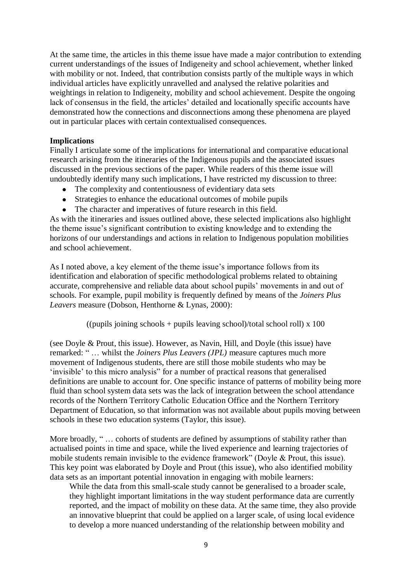At the same time, the articles in this theme issue have made a major contribution to extending current understandings of the issues of Indigeneity and school achievement, whether linked with mobility or not. Indeed, that contribution consists partly of the multiple ways in which individual articles have explicitly unravelled and analysed the relative polarities and weightings in relation to Indigeneity, mobility and school achievement. Despite the ongoing lack of consensus in the field, the articles' detailed and locationally specific accounts have demonstrated how the connections and disconnections among these phenomena are played out in particular places with certain contextualised consequences.

## **Implications**

Finally I articulate some of the implications for international and comparative educational research arising from the itineraries of the Indigenous pupils and the associated issues discussed in the previous sections of the paper. While readers of this theme issue will undoubtedly identify many such implications, I have restricted my discussion to three:

- The complexity and contentiousness of evidentiary data sets
- Strategies to enhance the educational outcomes of mobile pupils
- The character and imperatives of future research in this field.

As with the itineraries and issues outlined above, these selected implications also highlight the theme issue"s significant contribution to existing knowledge and to extending the horizons of our understandings and actions in relation to Indigenous population mobilities and school achievement.

As I noted above, a key element of the theme issue's importance follows from its identification and elaboration of specific methodological problems related to obtaining accurate, comprehensive and reliable data about school pupils" movements in and out of schools. For example, pupil mobility is frequently defined by means of the *Joiners Plus Leavers* measure (Dobson, Henthorne & Lynas, 2000):

((pupils joining schools + pupils leaving school)/total school roll)  $x$  100

(see Doyle & Prout, this issue). However, as Navin, Hill, and Doyle (this issue) have remarked: " … whilst the *Joiners Plus Leavers (JPL)* measure captures much more movement of Indigenous students, there are still those mobile students who may be "invisible" to this micro analysis" for a number of practical reasons that generalised definitions are unable to account for. One specific instance of patterns of mobility being more fluid than school system data sets was the lack of integration between the school attendance records of the Northern Territory Catholic Education Office and the Northern Territory Department of Education, so that information was not available about pupils moving between schools in these two education systems (Taylor, this issue).

More broadly, "... cohorts of students are defined by assumptions of stability rather than actualised points in time and space, while the lived experience and learning trajectories of mobile students remain invisible to the evidence framework" (Doyle & Prout, this issue). This key point was elaborated by Doyle and Prout (this issue), who also identified mobility data sets as an important potential innovation in engaging with mobile learners:

While the data from this small-scale study cannot be generalised to a broader scale, they highlight important limitations in the way student performance data are currently reported, and the impact of mobility on these data. At the same time, they also provide an innovative blueprint that could be applied on a larger scale, of using local evidence to develop a more nuanced understanding of the relationship between mobility and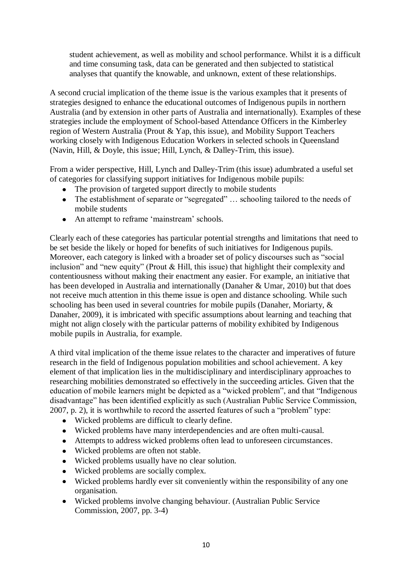student achievement, as well as mobility and school performance. Whilst it is a difficult and time consuming task, data can be generated and then subjected to statistical analyses that quantify the knowable, and unknown, extent of these relationships.

A second crucial implication of the theme issue is the various examples that it presents of strategies designed to enhance the educational outcomes of Indigenous pupils in northern Australia (and by extension in other parts of Australia and internationally). Examples of these strategies include the employment of School-based Attendance Officers in the Kimberley region of Western Australia (Prout & Yap, this issue), and Mobility Support Teachers working closely with Indigenous Education Workers in selected schools in Queensland (Navin, Hill, & Doyle, this issue; Hill, Lynch, & Dalley-Trim, this issue).

From a wider perspective, Hill, Lynch and Dalley-Trim (this issue) adumbrated a useful set of categories for classifying support initiatives for Indigenous mobile pupils:

- The provision of targeted support directly to mobile students
- The establishment of separate or "segregated" ... schooling tailored to the needs of mobile students
- An attempt to reframe 'mainstream' schools.

Clearly each of these categories has particular potential strengths and limitations that need to be set beside the likely or hoped for benefits of such initiatives for Indigenous pupils. Moreover, each category is linked with a broader set of policy discourses such as "social inclusion" and "new equity" (Prout & Hill, this issue) that highlight their complexity and contentiousness without making their enactment any easier. For example, an initiative that has been developed in Australia and internationally (Danaher & Umar, 2010) but that does not receive much attention in this theme issue is open and distance schooling. While such schooling has been used in several countries for mobile pupils (Danaher, Moriarty, & Danaher, 2009), it is imbricated with specific assumptions about learning and teaching that might not align closely with the particular patterns of mobility exhibited by Indigenous mobile pupils in Australia, for example.

A third vital implication of the theme issue relates to the character and imperatives of future research in the field of Indigenous population mobilities and school achievement. A key element of that implication lies in the multidisciplinary and interdisciplinary approaches to researching mobilities demonstrated so effectively in the succeeding articles. Given that the education of mobile learners might be depicted as a "wicked problem", and that "Indigenous disadvantage" has been identified explicitly as such (Australian Public Service Commission, 2007, p. 2), it is worthwhile to record the asserted features of such a "problem" type:

- Wicked problems are difficult to clearly define.
- Wicked problems have many interdependencies and are often multi-causal.
- Attempts to address wicked problems often lead to unforeseen circumstances.
- Wicked problems are often not stable.
- Wicked problems usually have no clear solution.
- Wicked problems are socially complex.
- Wicked problems hardly ever sit conveniently within the responsibility of any one organisation.
- Wicked problems involve changing behaviour. (Australian Public Service Commission, 2007, pp. 3-4)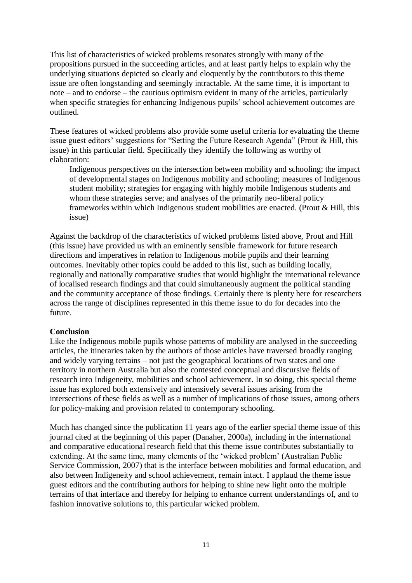This list of characteristics of wicked problems resonates strongly with many of the propositions pursued in the succeeding articles, and at least partly helps to explain why the underlying situations depicted so clearly and eloquently by the contributors to this theme issue are often longstanding and seemingly intractable. At the same time, it is important to note – and to endorse – the cautious optimism evident in many of the articles, particularly when specific strategies for enhancing Indigenous pupils' school achievement outcomes are outlined.

These features of wicked problems also provide some useful criteria for evaluating the theme issue guest editors' suggestions for "Setting the Future Research Agenda" (Prout & Hill, this issue) in this particular field. Specifically they identify the following as worthy of elaboration:

Indigenous perspectives on the intersection between mobility and schooling; the impact of developmental stages on Indigenous mobility and schooling; measures of Indigenous student mobility; strategies for engaging with highly mobile Indigenous students and whom these strategies serve; and analyses of the primarily neo-liberal policy frameworks within which Indigenous student mobilities are enacted. (Prout & Hill, this issue)

Against the backdrop of the characteristics of wicked problems listed above, Prout and Hill (this issue) have provided us with an eminently sensible framework for future research directions and imperatives in relation to Indigenous mobile pupils and their learning outcomes. Inevitably other topics could be added to this list, such as building locally, regionally and nationally comparative studies that would highlight the international relevance of localised research findings and that could simultaneously augment the political standing and the community acceptance of those findings. Certainly there is plenty here for researchers across the range of disciplines represented in this theme issue to do for decades into the future.

### **Conclusion**

Like the Indigenous mobile pupils whose patterns of mobility are analysed in the succeeding articles, the itineraries taken by the authors of those articles have traversed broadly ranging and widely varying terrains – not just the geographical locations of two states and one territory in northern Australia but also the contested conceptual and discursive fields of research into Indigeneity, mobilities and school achievement. In so doing, this special theme issue has explored both extensively and intensively several issues arising from the intersections of these fields as well as a number of implications of those issues, among others for policy-making and provision related to contemporary schooling.

Much has changed since the publication 11 years ago of the earlier special theme issue of this journal cited at the beginning of this paper (Danaher, 2000a), including in the international and comparative educational research field that this theme issue contributes substantially to extending. At the same time, many elements of the "wicked problem" (Australian Public Service Commission, 2007) that is the interface between mobilities and formal education, and also between Indigeneity and school achievement, remain intact. I applaud the theme issue guest editors and the contributing authors for helping to shine new light onto the multiple terrains of that interface and thereby for helping to enhance current understandings of, and to fashion innovative solutions to, this particular wicked problem.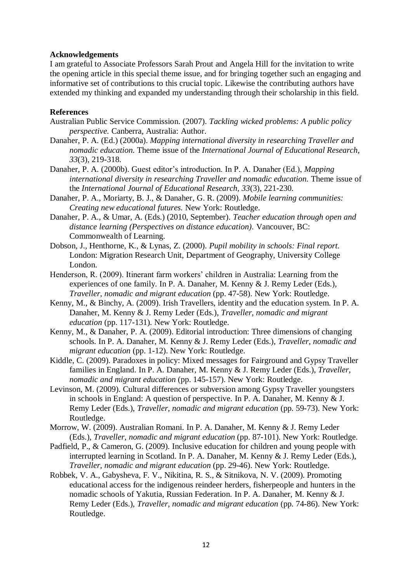#### **Acknowledgements**

I am grateful to Associate Professors Sarah Prout and Angela Hill for the invitation to write the opening article in this special theme issue, and for bringing together such an engaging and informative set of contributions to this crucial topic. Likewise the contributing authors have extended my thinking and expanded my understanding through their scholarship in this field.

#### **References**

- Australian Public Service Commission. (2007). *Tackling wicked problems: A public policy perspective.* Canberra, Australia: Author.
- Danaher, P. A. (Ed.) (2000a). *Mapping international diversity in researching Traveller and nomadic education.* Theme issue of the *International Journal of Educational Research, 33*(3), 219-318.
- Danaher, P. A. (2000b). Guest editor"s introduction. In P. A. Danaher (Ed.), *Mapping international diversity in researching Traveller and nomadic education.* Theme issue of the *International Journal of Educational Research, 33*(3), 221-230.
- Danaher, P. A., Moriarty, B. J., & Danaher, G. R. (2009). *Mobile learning communities: Creating new educational futures.* New York: Routledge.
- Danaher, P. A., & Umar, A. (Eds.) (2010, September). *Teacher education through open and distance learning (Perspectives on distance education).* Vancouver, BC: Commonwealth of Learning.
- Dobson, J., Henthorne, K., & Lynas, Z. (2000). *Pupil mobility in schools: Final report.* London: Migration Research Unit, Department of Geography, University College London.
- Henderson, R. (2009). Itinerant farm workers' children in Australia: Learning from the experiences of one family. In P. A. Danaher, M. Kenny & J. Remy Leder (Eds.), *Traveller, nomadic and migrant education* (pp. 47-58). New York: Routledge.
- Kenny, M., & Binchy, A. (2009). Irish Travellers, identity and the education system. In P. A. Danaher, M. Kenny & J. Remy Leder (Eds.), *Traveller, nomadic and migrant education* (pp. 117-131). New York: Routledge.
- Kenny, M., & Danaher, P. A. (2009). Editorial introduction: Three dimensions of changing schools. In P. A. Danaher, M. Kenny & J. Remy Leder (Eds.), *Traveller, nomadic and migrant education* (pp. 1-12). New York: Routledge.
- Kiddle, C. (2009). Paradoxes in policy: Mixed messages for Fairground and Gypsy Traveller families in England. In P. A. Danaher, M. Kenny & J. Remy Leder (Eds.), *Traveller, nomadic and migrant education* (pp. 145-157). New York: Routledge.
- Levinson, M. (2009). Cultural differences or subversion among Gypsy Traveller youngsters in schools in England: A question of perspective. In P. A. Danaher, M. Kenny & J. Remy Leder (Eds.), *Traveller, nomadic and migrant education* (pp. 59-73). New York: Routledge.
- Morrow, W. (2009). Australian Romani. In P. A. Danaher, M. Kenny & J. Remy Leder (Eds.), *Traveller, nomadic and migrant education* (pp. 87-101). New York: Routledge.
- Padfield, P., & Cameron, G. (2009). Inclusive education for children and young people with interrupted learning in Scotland. In P. A. Danaher, M. Kenny & J. Remy Leder (Eds.), *Traveller, nomadic and migrant education* (pp. 29-46). New York: Routledge.
- Robbek, V. A., Gabysheva, F. V., Nikitina, R. S., & Sitnikova, N. V. (2009). Promoting educational access for the indigenous reindeer herders, fisherpeople and hunters in the nomadic schools of Yakutia, Russian Federation. In P. A. Danaher, M. Kenny & J. Remy Leder (Eds.), *Traveller, nomadic and migrant education* (pp. 74-86). New York: Routledge.